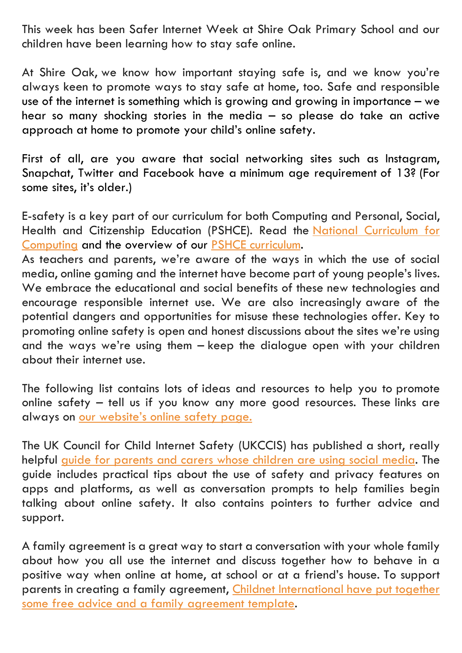This week has been Safer Internet Week at Shire Oak Primary School and our children have been learning how to stay safe online.

At Shire Oak, we know how important staying safe is, and we know you're always keen to promote ways to stay safe at home, too. Safe and responsible use of the internet is something which is growing and growing in importance – we hear so many shocking stories in the media – so please do take an active approach at home to promote your child's online safety.

First of all, are you aware that social networking sites such as Instagram, Snapchat, Twitter and Facebook have a [minimum age requirement](http://www.adweek.com/socialtimes/social-media-minimum-age/501920) of 13? (For some sites, it's older.)

E-safety is a key part of our curriculum for both Computing and Personal, Social, Health and Citizenship Education (PSHCE). Read the [National Curriculum for](https://www.gov.uk/government/uploads/system/uploads/attachment_data/file/239033/PRIMARY_national_curriculum_-_Computing.pdf)  [Computing](https://www.gov.uk/government/uploads/system/uploads/attachment_data/file/239033/PRIMARY_national_curriculum_-_Computing.pdf) and the overview of our [PSHCE curriculum.](http://docs.wixstatic.com/ugd/874958_1048eebad4ee489da05b66cb2d4a1522.pdf)

As teachers and parents, we're aware of the ways in which the use of social media, online gaming and the internet have become part of young people's lives. We embrace the educational and social benefits of these new technologies and encourage responsible internet use. We are also increasingly aware of the potential dangers and opportunities for misuse these technologies offer. Key to promoting online safety is open and honest discussions about the sites we're using and the ways we're using them – keep the dialogue open with your children about their internet use.

The following list contains lots of ideas and resources to help you to promote online safety – tell us if you know any more good resources. These links are always on [our website's online safety page.](http://www.shireoak.org/e-safety)

The UK Council for Child Internet Safety (UKCCIS) has published a short, really helpful guide for parents and carers [whose children are using social media.](https://www.gov.uk/government/uploads/system/uploads/attachment_data/file/490001/Social_Media_Guidance_UKCCIS_Final_18122015.pdf.pdf) The guide includes practical tips about the use of safety and privacy features on apps and platforms, as well as conversation prompts to help families begin talking about online safety. It also contains pointers to further advice and support.

A family agreement is a great way to start a conversation with your whole family about how you all use the internet and discuss together how to behave in a positive way when online at home, at school or at a friend's house. To support parents in creating a family agreement, Childnet International have put together [some free advice and a family agreement template.](http://www.childnet.com/blog/family-agreement)